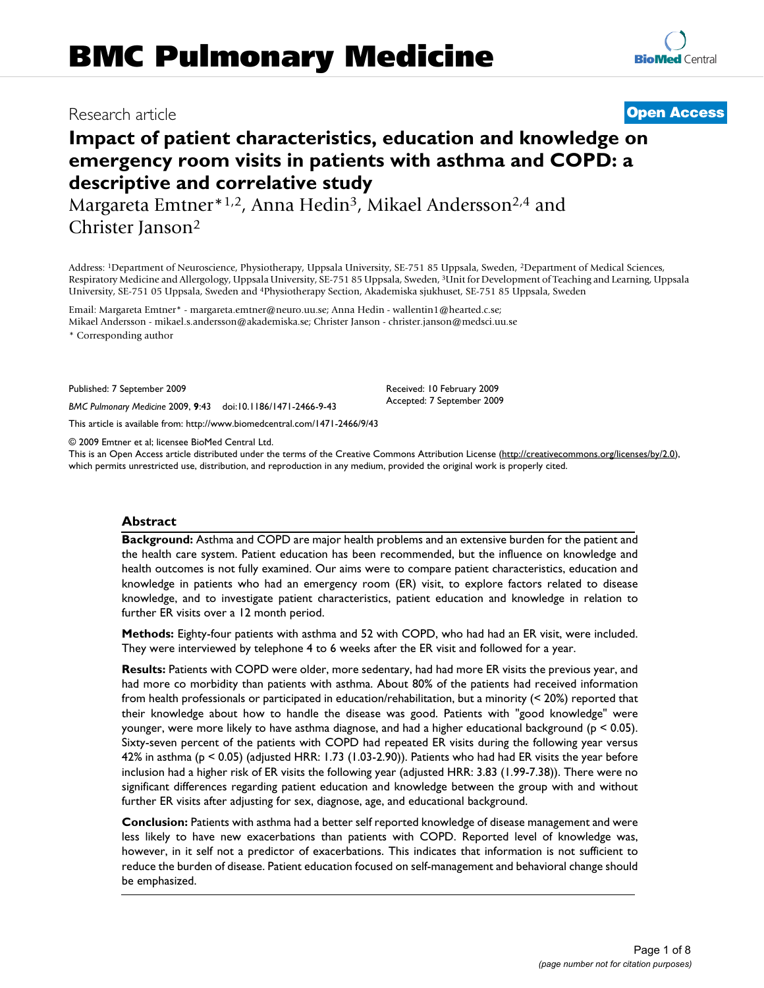# **Impact of patient characteristics, education and knowledge on emergency room visits in patients with asthma and COPD: a descriptive and correlative study**

Margareta Emtner\*1,2, Anna Hedin<sup>3</sup>, Mikael Andersson<sup>2,4</sup> and Christer Janson2

Address: 1Department of Neuroscience, Physiotherapy, Uppsala University, SE-751 85 Uppsala, Sweden, 2Department of Medical Sciences, Respiratory Medicine and Allergology, Uppsala University, SE-751 85 Uppsala, Sweden, 3Unit for Development of Teaching and Learning, Uppsala University, SE-751 05 Uppsala, Sweden and 4Physiotherapy Section, Akademiska sjukhuset, SE-751 85 Uppsala, Sweden

Email: Margareta Emtner\* - margareta.emtner@neuro.uu.se; Anna Hedin - wallentin1@hearted.c.se; Mikael Andersson - mikael.s.andersson@akademiska.se; Christer Janson - christer.janson@medsci.uu.se

\* Corresponding author

Published: 7 September 2009

*BMC Pulmonary Medicine* 2009, **9**:43 doi:10.1186/1471-2466-9-43

[This article is available from: http://www.biomedcentral.com/1471-2466/9/43](http://www.biomedcentral.com/1471-2466/9/43)

© 2009 Emtner et al; licensee BioMed Central Ltd.

This is an Open Access article distributed under the terms of the Creative Commons Attribution License [\(http://creativecommons.org/licenses/by/2.0\)](http://creativecommons.org/licenses/by/2.0), which permits unrestricted use, distribution, and reproduction in any medium, provided the original work is properly cited.

#### **Abstract**

**Background:** Asthma and COPD are major health problems and an extensive burden for the patient and the health care system. Patient education has been recommended, but the influence on knowledge and health outcomes is not fully examined. Our aims were to compare patient characteristics, education and knowledge in patients who had an emergency room (ER) visit, to explore factors related to disease knowledge, and to investigate patient characteristics, patient education and knowledge in relation to further ER visits over a 12 month period.

**Methods:** Eighty-four patients with asthma and 52 with COPD, who had had an ER visit, were included. They were interviewed by telephone 4 to 6 weeks after the ER visit and followed for a year.

**Results:** Patients with COPD were older, more sedentary, had had more ER visits the previous year, and had more co morbidity than patients with asthma. About 80% of the patients had received information from health professionals or participated in education/rehabilitation, but a minority (< 20%) reported that their knowledge about how to handle the disease was good. Patients with "good knowledge" were younger, were more likely to have asthma diagnose, and had a higher educational background (p < 0.05). Sixty-seven percent of the patients with COPD had repeated ER visits during the following year versus 42% in asthma (p < 0.05) (adjusted HRR: 1.73 (1.03-2.90)). Patients who had had ER visits the year before inclusion had a higher risk of ER visits the following year (adjusted HRR: 3.83 (1.99-7.38)). There were no significant differences regarding patient education and knowledge between the group with and without further ER visits after adjusting for sex, diagnose, age, and educational background.

**Conclusion:** Patients with asthma had a better self reported knowledge of disease management and were less likely to have new exacerbations than patients with COPD. Reported level of knowledge was, however, in it self not a predictor of exacerbations. This indicates that information is not sufficient to reduce the burden of disease. Patient education focused on self-management and behavioral change should be emphasized.

# Research article **[Open Access](http://www.biomedcentral.com/info/about/charter/)**

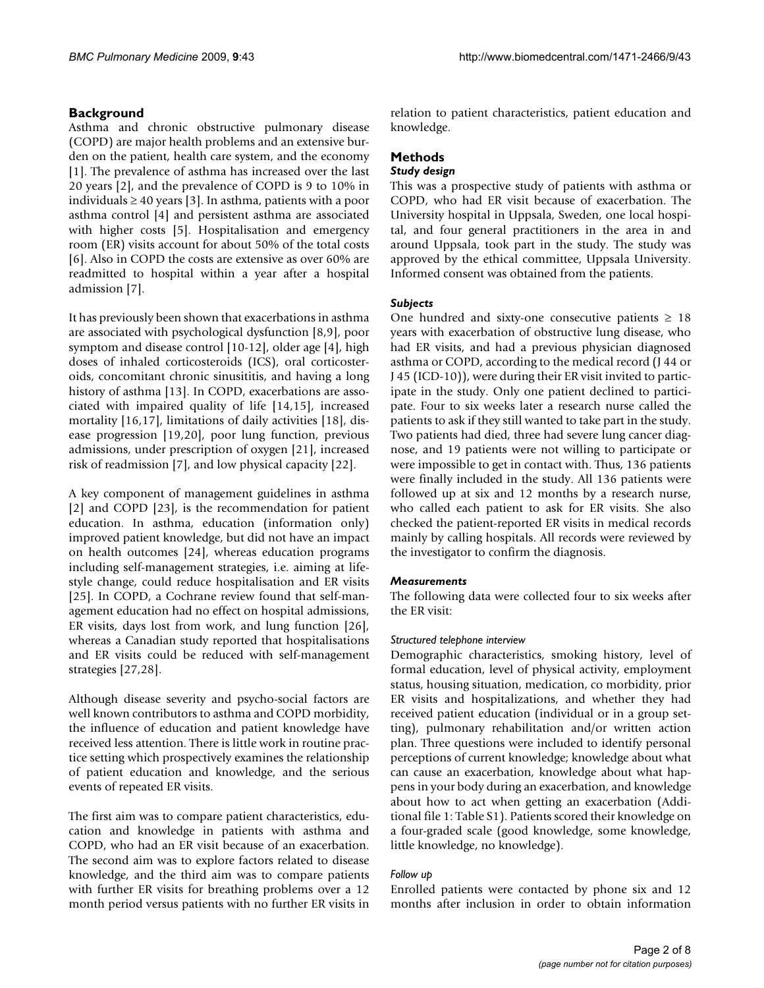# **Background**

Asthma and chronic obstructive pulmonary disease (COPD) are major health problems and an extensive burden on the patient, health care system, and the economy [1]. The prevalence of asthma has increased over the last 20 years [2], and the prevalence of COPD is 9 to 10% in individuals  $\geq 40$  years [3]. In asthma, patients with a poor asthma control [4] and persistent asthma are associated with higher costs [5]. Hospitalisation and emergency room (ER) visits account for about 50% of the total costs [6]. Also in COPD the costs are extensive as over 60% are readmitted to hospital within a year after a hospital admission [7].

It has previously been shown that exacerbations in asthma are associated with psychological dysfunction [8,9], poor symptom and disease control [10-12], older age [4], high doses of inhaled corticosteroids (ICS), oral corticosteroids, concomitant chronic sinusititis, and having a long history of asthma [13]. In COPD, exacerbations are associated with impaired quality of life [14,15], increased mortality [16,17], limitations of daily activities [18], disease progression [19,20], poor lung function, previous admissions, under prescription of oxygen [21], increased risk of readmission [7], and low physical capacity [22].

A key component of management guidelines in asthma [2] and COPD [23], is the recommendation for patient education. In asthma, education (information only) improved patient knowledge, but did not have an impact on health outcomes [24], whereas education programs including self-management strategies, i.e. aiming at lifestyle change, could reduce hospitalisation and ER visits [25]. In COPD, a Cochrane review found that self-management education had no effect on hospital admissions, ER visits, days lost from work, and lung function [26], whereas a Canadian study reported that hospitalisations and ER visits could be reduced with self-management strategies [27,28].

Although disease severity and psycho-social factors are well known contributors to asthma and COPD morbidity, the influence of education and patient knowledge have received less attention. There is little work in routine practice setting which prospectively examines the relationship of patient education and knowledge, and the serious events of repeated ER visits.

The first aim was to compare patient characteristics, education and knowledge in patients with asthma and COPD, who had an ER visit because of an exacerbation. The second aim was to explore factors related to disease knowledge, and the third aim was to compare patients with further ER visits for breathing problems over a 12 month period versus patients with no further ER visits in

relation to patient characteristics, patient education and knowledge.

# **Methods**

## *Study design*

This was a prospective study of patients with asthma or COPD, who had ER visit because of exacerbation. The University hospital in Uppsala, Sweden, one local hospital, and four general practitioners in the area in and around Uppsala, took part in the study. The study was approved by the ethical committee, Uppsala University. Informed consent was obtained from the patients.

#### *Subjects*

One hundred and sixty-one consecutive patients  $\geq 18$ years with exacerbation of obstructive lung disease, who had ER visits, and had a previous physician diagnosed asthma or COPD, according to the medical record (J 44 or J 45 (ICD-10)), were during their ER visit invited to participate in the study. Only one patient declined to participate. Four to six weeks later a research nurse called the patients to ask if they still wanted to take part in the study. Two patients had died, three had severe lung cancer diagnose, and 19 patients were not willing to participate or were impossible to get in contact with. Thus, 136 patients were finally included in the study. All 136 patients were followed up at six and 12 months by a research nurse, who called each patient to ask for ER visits. She also checked the patient-reported ER visits in medical records mainly by calling hospitals. All records were reviewed by the investigator to confirm the diagnosis.

## *Measurements*

The following data were collected four to six weeks after the ER visit:

## *Structured telephone interview*

Demographic characteristics, smoking history, level of formal education, level of physical activity, employment status, housing situation, medication, co morbidity, prior ER visits and hospitalizations, and whether they had received patient education (individual or in a group setting), pulmonary rehabilitation and/or written action plan. Three questions were included to identify personal perceptions of current knowledge; knowledge about what can cause an exacerbation, knowledge about what happens in your body during an exacerbation, and knowledge about how to act when getting an exacerbation (Additional file 1: Table S1). Patients scored their knowledge on a four-graded scale (good knowledge, some knowledge, little knowledge, no knowledge).

## *Follow up*

Enrolled patients were contacted by phone six and 12 months after inclusion in order to obtain information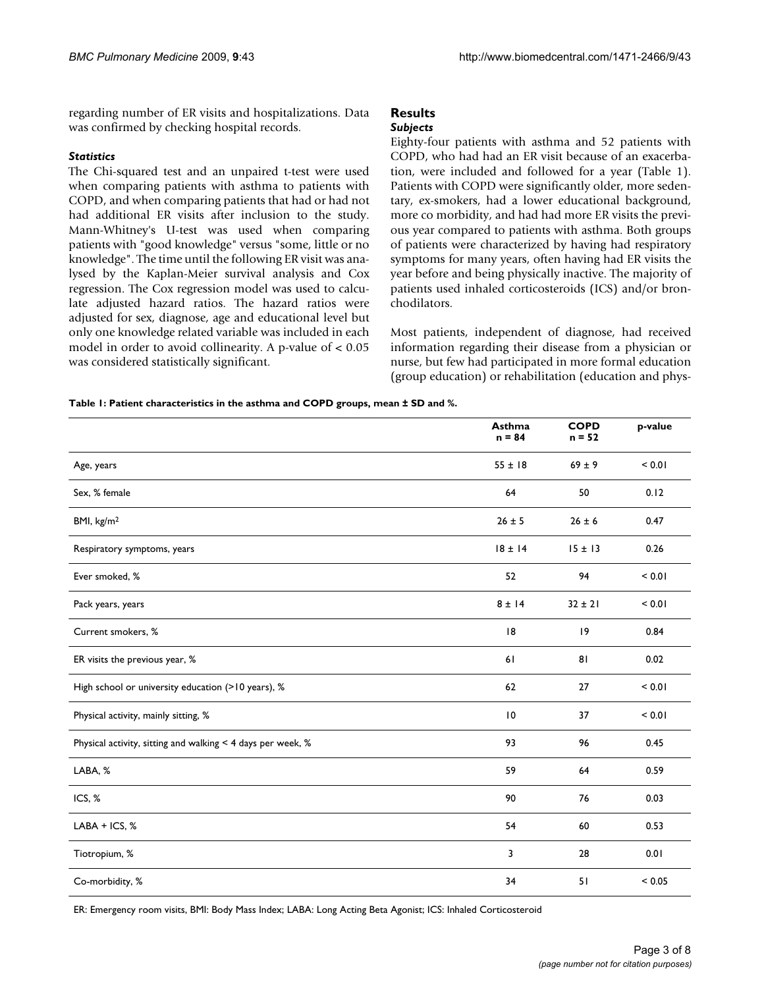regarding number of ER visits and hospitalizations. Data was confirmed by checking hospital records.

#### *Statistics*

The Chi-squared test and an unpaired t-test were used when comparing patients with asthma to patients with COPD, and when comparing patients that had or had not had additional ER visits after inclusion to the study. Mann-Whitney's U-test was used when comparing patients with "good knowledge" versus "some, little or no knowledge". The time until the following ER visit was analysed by the Kaplan-Meier survival analysis and Cox regression. The Cox regression model was used to calculate adjusted hazard ratios. The hazard ratios were adjusted for sex, diagnose, age and educational level but only one knowledge related variable was included in each model in order to avoid collinearity. A p-value of < 0.05 was considered statistically significant.

# **Results**

# *Subjects*

Eighty-four patients with asthma and 52 patients with COPD, who had had an ER visit because of an exacerbation, were included and followed for a year (Table 1). Patients with COPD were significantly older, more sedentary, ex-smokers, had a lower educational background, more co morbidity, and had had more ER visits the previous year compared to patients with asthma. Both groups of patients were characterized by having had respiratory symptoms for many years, often having had ER visits the year before and being physically inactive. The majority of patients used inhaled corticosteroids (ICS) and/or bronchodilators.

Most patients, independent of diagnose, had received information regarding their disease from a physician or nurse, but few had participated in more formal education (group education) or rehabilitation (education and phys-

**Table 1: Patient characteristics in the asthma and COPD groups, mean ± SD and %.**

|                                                             | Asthma<br>$n = 84$ | <b>COPD</b><br>$n = 52$ | p-value |
|-------------------------------------------------------------|--------------------|-------------------------|---------|
| Age, years                                                  | $55 \pm 18$        | $69 \pm 9$              | < 0.01  |
| Sex, % female                                               | 64                 | 50                      | 0.12    |
| BMI, kg/m <sup>2</sup>                                      | $26 \pm 5$         | $26 \pm 6$              | 0.47    |
| Respiratory symptoms, years                                 | $18 \pm 14$        | $15 \pm 13$             | 0.26    |
| Ever smoked, %                                              | 52                 | 94                      | < 0.01  |
| Pack years, years                                           | $8 \pm 14$         | $32 \pm 21$             | < 0.01  |
| Current smokers, %                                          | 8                  | 9                       | 0.84    |
| ER visits the previous year, %                              | 61                 | 81                      | 0.02    |
| High school or university education (>10 years), %          | 62                 | 27                      | < 0.01  |
| Physical activity, mainly sitting, %                        | 10                 | 37                      | < 0.01  |
| Physical activity, sitting and walking < 4 days per week, % | 93                 | 96                      | 0.45    |
| LABA, %                                                     | 59                 | 64                      | 0.59    |
| ICS, %                                                      | 90                 | 76                      | 0.03    |
| LABA + ICS, %                                               | 54                 | 60                      | 0.53    |
| Tiotropium, %                                               | 3                  | 28                      | 0.01    |
| Co-morbidity, %                                             | 34                 | 51                      | < 0.05  |

ER: Emergency room visits, BMI: Body Mass Index; LABA: Long Acting Beta Agonist; ICS: Inhaled Corticosteroid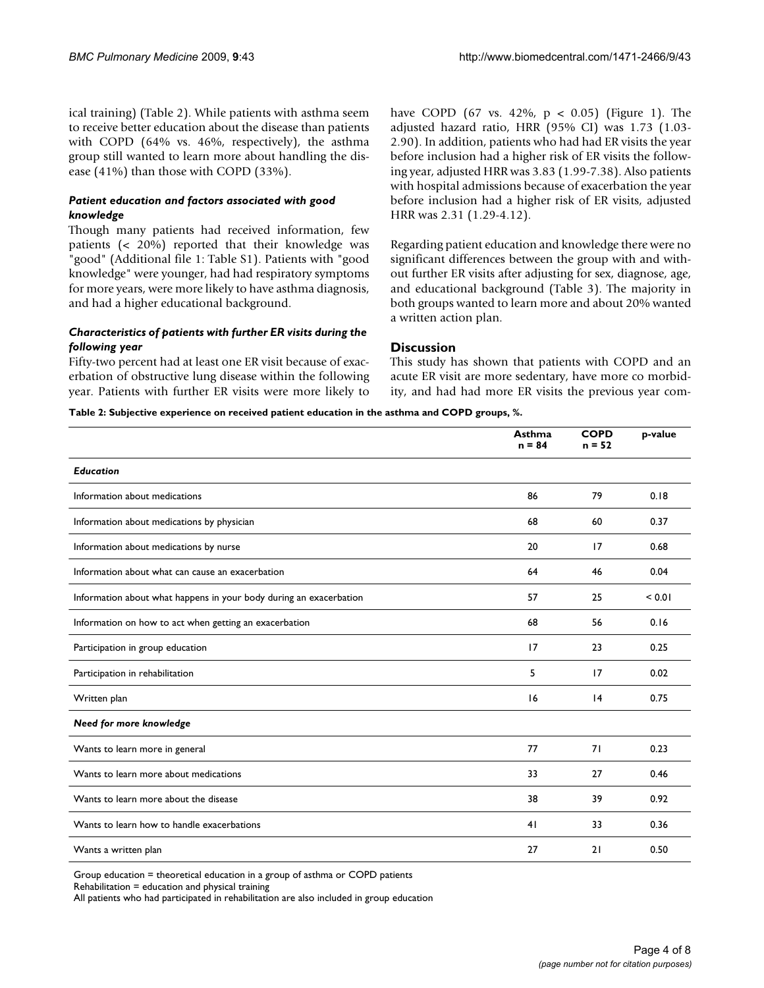ical training) (Table 2). While patients with asthma seem to receive better education about the disease than patients with COPD (64% vs. 46%, respectively), the asthma group still wanted to learn more about handling the disease (41%) than those with COPD (33%).

#### *Patient education and factors associated with good knowledge*

Though many patients had received information, few patients (< 20%) reported that their knowledge was "good" (Additional file 1: Table S1). Patients with "good knowledge" were younger, had had respiratory symptoms for more years, were more likely to have asthma diagnosis, and had a higher educational background.

## *Characteristics of patients with further ER visits during the following year*

Fifty-two percent had at least one ER visit because of exacerbation of obstructive lung disease within the following year. Patients with further ER visits were more likely to

have COPD (67 vs. 42%,  $p < 0.05$ ) (Figure 1). The adjusted hazard ratio, HRR (95% CI) was 1.73 (1.03- 2.90). In addition, patients who had had ER visits the year before inclusion had a higher risk of ER visits the following year, adjusted HRR was 3.83 (1.99-7.38). Also patients with hospital admissions because of exacerbation the year before inclusion had a higher risk of ER visits, adjusted HRR was 2.31 (1.29-4.12).

Regarding patient education and knowledge there were no significant differences between the group with and without further ER visits after adjusting for sex, diagnose, age, and educational background (Table 3). The majority in both groups wanted to learn more and about 20% wanted a written action plan.

## **Discussion**

This study has shown that patients with COPD and an acute ER visit are more sedentary, have more co morbidity, and had had more ER visits the previous year com-

#### **Table 2: Subjective experience on received patient education in the asthma and COPD groups, %.**

|                                                                    | Asthma<br>$n = 84$ | <b>COPD</b><br>$n = 52$ | p-value |
|--------------------------------------------------------------------|--------------------|-------------------------|---------|
| <b>Education</b>                                                   |                    |                         |         |
| Information about medications                                      | 86                 | 79                      | 0.18    |
| Information about medications by physician                         | 68                 | 60                      | 0.37    |
| Information about medications by nurse                             | 20                 | 17                      | 0.68    |
| Information about what can cause an exacerbation                   | 64                 | 46                      | 0.04    |
| Information about what happens in your body during an exacerbation | 57                 | 25                      | < 0.01  |
| Information on how to act when getting an exacerbation             | 68                 | 56                      | 0.16    |
| Participation in group education                                   | 17                 | 23                      | 0.25    |
| Participation in rehabilitation                                    | 5                  | 17                      | 0.02    |
| Written plan                                                       | 16                 | 4                       | 0.75    |
| Need for more knowledge                                            |                    |                         |         |
| Wants to learn more in general                                     | 77                 | 71                      | 0.23    |
| Wants to learn more about medications                              | 33                 | 27                      | 0.46    |
| Wants to learn more about the disease                              | 38                 | 39                      | 0.92    |
| Wants to learn how to handle exacerbations                         | 41                 | 33                      | 0.36    |
| Wants a written plan                                               | 27                 | 21                      | 0.50    |

Group education = theoretical education in a group of asthma or COPD patients

Rehabilitation = education and physical training

All patients who had participated in rehabilitation are also included in group education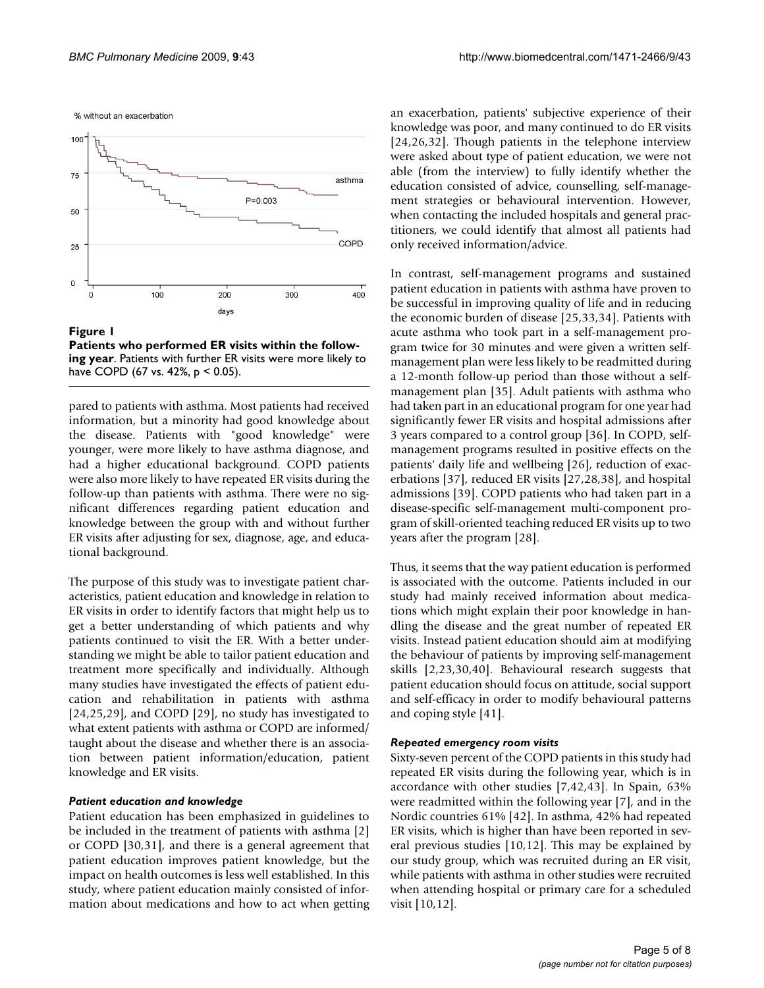% without an exacerbation



**Figure 1 Patients who performed ER visits within the following year**. Patients with further ER visits were more likely to have COPD (67 vs. 42%, p < 0.05).

pared to patients with asthma. Most patients had received information, but a minority had good knowledge about the disease. Patients with "good knowledge" were younger, were more likely to have asthma diagnose, and had a higher educational background. COPD patients were also more likely to have repeated ER visits during the follow-up than patients with asthma. There were no significant differences regarding patient education and knowledge between the group with and without further ER visits after adjusting for sex, diagnose, age, and educational background.

The purpose of this study was to investigate patient characteristics, patient education and knowledge in relation to ER visits in order to identify factors that might help us to get a better understanding of which patients and why patients continued to visit the ER. With a better understanding we might be able to tailor patient education and treatment more specifically and individually. Although many studies have investigated the effects of patient education and rehabilitation in patients with asthma [24,25,29], and COPD [29], no study has investigated to what extent patients with asthma or COPD are informed/ taught about the disease and whether there is an association between patient information/education, patient knowledge and ER visits.

#### *Patient education and knowledge*

Patient education has been emphasized in guidelines to be included in the treatment of patients with asthma [2] or COPD [30,31], and there is a general agreement that patient education improves patient knowledge, but the impact on health outcomes is less well established. In this study, where patient education mainly consisted of information about medications and how to act when getting an exacerbation, patients' subjective experience of their knowledge was poor, and many continued to do ER visits [24,26,32]. Though patients in the telephone interview were asked about type of patient education, we were not able (from the interview) to fully identify whether the education consisted of advice, counselling, self-management strategies or behavioural intervention. However, when contacting the included hospitals and general practitioners, we could identify that almost all patients had only received information/advice.

In contrast, self-management programs and sustained patient education in patients with asthma have proven to be successful in improving quality of life and in reducing the economic burden of disease [25,33,34]. Patients with acute asthma who took part in a self-management program twice for 30 minutes and were given a written selfmanagement plan were less likely to be readmitted during a 12-month follow-up period than those without a selfmanagement plan [35]. Adult patients with asthma who had taken part in an educational program for one year had significantly fewer ER visits and hospital admissions after 3 years compared to a control group [36]. In COPD, selfmanagement programs resulted in positive effects on the patients' daily life and wellbeing [26], reduction of exacerbations [37], reduced ER visits [27,28,38], and hospital admissions [39]. COPD patients who had taken part in a disease-specific self-management multi-component program of skill-oriented teaching reduced ER visits up to two years after the program [28].

Thus, it seems that the way patient education is performed is associated with the outcome. Patients included in our study had mainly received information about medications which might explain their poor knowledge in handling the disease and the great number of repeated ER visits. Instead patient education should aim at modifying the behaviour of patients by improving self-management skills [2,23,30,40]. Behavioural research suggests that patient education should focus on attitude, social support and self-efficacy in order to modify behavioural patterns and coping style [41].

#### *Repeated emergency room visits*

Sixty-seven percent of the COPD patients in this study had repeated ER visits during the following year, which is in accordance with other studies [7,42,43]. In Spain, 63% were readmitted within the following year [7], and in the Nordic countries 61% [42]. In asthma, 42% had repeated ER visits, which is higher than have been reported in several previous studies [10,12]. This may be explained by our study group, which was recruited during an ER visit, while patients with asthma in other studies were recruited when attending hospital or primary care for a scheduled visit [10,12].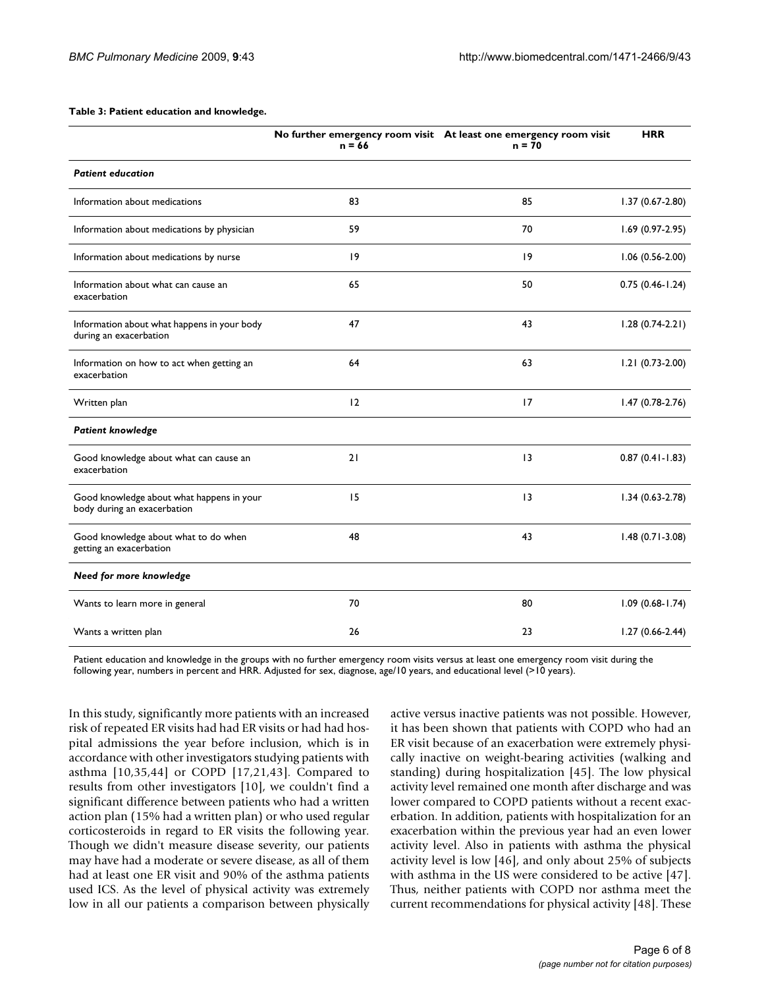#### **Table 3: Patient education and knowledge.**

|                                                                          | $n = 66$ | No further emergency room visit At least one emergency room visit<br>$n = 70$ | <b>HRR</b>          |
|--------------------------------------------------------------------------|----------|-------------------------------------------------------------------------------|---------------------|
| <b>Patient education</b>                                                 |          |                                                                               |                     |
| Information about medications                                            | 83       | 85                                                                            | $1.37(0.67-2.80)$   |
| Information about medications by physician                               | 59       | 70                                                                            | $1.69(0.97-2.95)$   |
| Information about medications by nurse                                   | 9        | 19                                                                            | $1.06(0.56-2.00)$   |
| Information about what can cause an<br>exacerbation                      | 65       | 50                                                                            | $0.75(0.46 - 1.24)$ |
| Information about what happens in your body<br>during an exacerbation    | 47       | 43                                                                            | $1.28(0.74-2.21)$   |
| Information on how to act when getting an<br>exacerbation                | 64       | 63                                                                            | $1.21(0.73-2.00)$   |
| Written plan                                                             | 12       | 17                                                                            | $1.47(0.78-2.76)$   |
| <b>Patient knowledge</b>                                                 |          |                                                                               |                     |
| Good knowledge about what can cause an<br>exacerbation                   | 21       | $\overline{13}$                                                               | $0.87(0.41-1.83)$   |
| Good knowledge about what happens in your<br>body during an exacerbation | 15       | 3                                                                             | $1.34(0.63-2.78)$   |
| Good knowledge about what to do when<br>getting an exacerbation          | 48       | 43                                                                            | $1.48(0.71-3.08)$   |
| Need for more knowledge                                                  |          |                                                                               |                     |
| Wants to learn more in general                                           | 70       | 80                                                                            | $1.09(0.68-1.74)$   |
| Wants a written plan                                                     | 26       | 23                                                                            | $1.27(0.66-2.44)$   |

Patient education and knowledge in the groups with no further emergency room visits versus at least one emergency room visit during the following year, numbers in percent and HRR. Adjusted for sex, diagnose, age/10 years, and educational level (>10 years).

In this study, significantly more patients with an increased risk of repeated ER visits had had ER visits or had had hospital admissions the year before inclusion, which is in accordance with other investigators studying patients with asthma [10,35,44] or COPD [17,21,43]. Compared to results from other investigators [10], we couldn't find a significant difference between patients who had a written action plan (15% had a written plan) or who used regular corticosteroids in regard to ER visits the following year. Though we didn't measure disease severity, our patients may have had a moderate or severe disease, as all of them had at least one ER visit and 90% of the asthma patients used ICS. As the level of physical activity was extremely low in all our patients a comparison between physically

active versus inactive patients was not possible. However, it has been shown that patients with COPD who had an ER visit because of an exacerbation were extremely physically inactive on weight-bearing activities (walking and standing) during hospitalization [45]. The low physical activity level remained one month after discharge and was lower compared to COPD patients without a recent exacerbation. In addition, patients with hospitalization for an exacerbation within the previous year had an even lower activity level. Also in patients with asthma the physical activity level is low [46], and only about 25% of subjects with asthma in the US were considered to be active [47]. Thus, neither patients with COPD nor asthma meet the current recommendations for physical activity [48]. These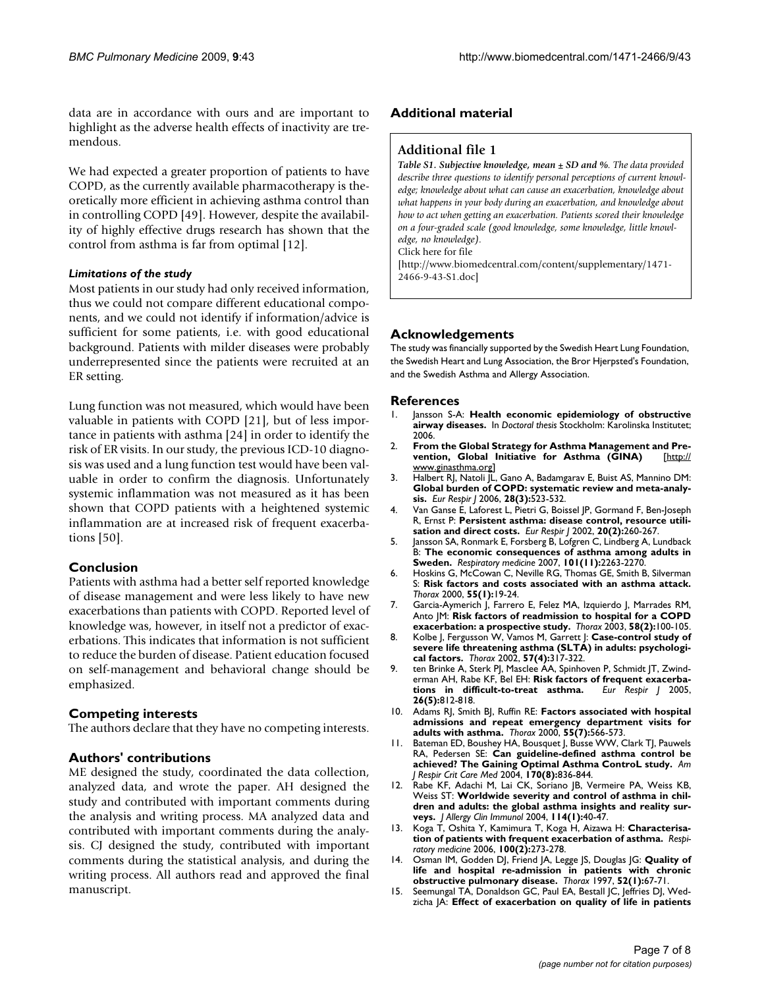data are in accordance with ours and are important to highlight as the adverse health effects of inactivity are tremendous.

We had expected a greater proportion of patients to have COPD, as the currently available pharmacotherapy is theoretically more efficient in achieving asthma control than in controlling COPD [49]. However, despite the availability of highly effective drugs research has shown that the control from asthma is far from optimal [12].

#### *Limitations of the study*

Most patients in our study had only received information, thus we could not compare different educational components, and we could not identify if information/advice is sufficient for some patients, i.e. with good educational background. Patients with milder diseases were probably underrepresented since the patients were recruited at an ER setting.

Lung function was not measured, which would have been valuable in patients with COPD [21], but of less importance in patients with asthma [24] in order to identify the risk of ER visits. In our study, the previous ICD-10 diagnosis was used and a lung function test would have been valuable in order to confirm the diagnosis. Unfortunately systemic inflammation was not measured as it has been shown that COPD patients with a heightened systemic inflammation are at increased risk of frequent exacerbations [50].

## **Conclusion**

Patients with asthma had a better self reported knowledge of disease management and were less likely to have new exacerbations than patients with COPD. Reported level of knowledge was, however, in itself not a predictor of exacerbations. This indicates that information is not sufficient to reduce the burden of disease. Patient education focused on self-management and behavioral change should be emphasized.

## **Competing interests**

The authors declare that they have no competing interests.

## **Authors' contributions**

ME designed the study, coordinated the data collection, analyzed data, and wrote the paper. AH designed the study and contributed with important comments during the analysis and writing process. MA analyzed data and contributed with important comments during the analysis. CJ designed the study, contributed with important comments during the statistical analysis, and during the writing process. All authors read and approved the final manuscript.

#### **Additional material**

## **Additional file 1**

*Table S1. Subjective knowledge, mean ± SD and %. The data provided describe three questions to identify personal perceptions of current knowledge; knowledge about what can cause an exacerbation, knowledge about what happens in your body during an exacerbation, and knowledge about how to act when getting an exacerbation. Patients scored their knowledge on a four-graded scale (good knowledge, some knowledge, little knowledge, no knowledge).* Click here for file

[\[http://www.biomedcentral.com/content/supplementary/1471-](http://www.biomedcentral.com/content/supplementary/1471-2466-9-43-S1.doc) 2466-9-43-S1.doc]

## **Acknowledgements**

The study was financially supported by the Swedish Heart Lung Foundation, the Swedish Heart and Lung Association, the Bror Hjerpsted's Foundation, and the Swedish Asthma and Allergy Association.

#### **References**

- 1. Jansson S-A: **Health economic epidemiology of obstructive airway diseases.** In *Doctoral thesis* Stockholm: Karolinska Institutet; 2006.
- 2. **From the Global Strategy for Asthma Management and Pre-**vention, Global Initiative for Asthma (GINA) [\[http://](http://www.ginasthma.org) [www.ginasthma.org\]](http://www.ginasthma.org)
- 3. Halbert RJ, Natoli JL, Gano A, Badamgarav E, Buist AS, Mannino DM: **[Global burden of COPD: systematic review and meta-analy](http://www.ncbi.nlm.nih.gov/entrez/query.fcgi?cmd=Retrieve&db=PubMed&dopt=Abstract&list_uids=16611654)[sis.](http://www.ncbi.nlm.nih.gov/entrez/query.fcgi?cmd=Retrieve&db=PubMed&dopt=Abstract&list_uids=16611654)** *Eur Respir J* 2006, **28(3):**523-532.
- 4. Van Ganse E, Laforest L, Pietri G, Boissel JP, Gormand F, Ben-Joseph R, Ernst P: **[Persistent asthma: disease control, resource utili](http://www.ncbi.nlm.nih.gov/entrez/query.fcgi?cmd=Retrieve&db=PubMed&dopt=Abstract&list_uids=12212953)[sation and direct costs.](http://www.ncbi.nlm.nih.gov/entrez/query.fcgi?cmd=Retrieve&db=PubMed&dopt=Abstract&list_uids=12212953)** *Eur Respir J* 2002, **20(2):**260-267.
- 5. Jansson SA, Ronmark E, Forsberg B, Lofgren C, Lindberg A, Lundback B: **[The economic consequences of asthma among adults in](http://www.ncbi.nlm.nih.gov/entrez/query.fcgi?cmd=Retrieve&db=PubMed&dopt=Abstract&list_uids=17689234) [Sweden.](http://www.ncbi.nlm.nih.gov/entrez/query.fcgi?cmd=Retrieve&db=PubMed&dopt=Abstract&list_uids=17689234)** *Respiratory medicine* 2007, **101(11):**2263-2270.
- 6. Hoskins G, McCowan C, Neville RG, Thomas GE, Smith B, Silverman S: **[Risk factors and costs associated with an asthma attack.](http://www.ncbi.nlm.nih.gov/entrez/query.fcgi?cmd=Retrieve&db=PubMed&dopt=Abstract&list_uids=10607797)** *Thorax* 2000, **55(1):**19-24.
- 7. Garcia-Aymerich J, Farrero E, Felez MA, Izquierdo J, Marrades RM, Anto JM: **[Risk factors of readmission to hospital for a COPD](http://www.ncbi.nlm.nih.gov/entrez/query.fcgi?cmd=Retrieve&db=PubMed&dopt=Abstract&list_uids=12554887) [exacerbation: a prospective study.](http://www.ncbi.nlm.nih.gov/entrez/query.fcgi?cmd=Retrieve&db=PubMed&dopt=Abstract&list_uids=12554887)** *Thorax* 2003, **58(2):**100-105.
- 8. Kolbe J, Fergusson W, Vamos M, Garrett J: **[Case-control study of](http://www.ncbi.nlm.nih.gov/entrez/query.fcgi?cmd=Retrieve&db=PubMed&dopt=Abstract&list_uids=11923549) [severe life threatening asthma \(SLTA\) in adults: psychologi](http://www.ncbi.nlm.nih.gov/entrez/query.fcgi?cmd=Retrieve&db=PubMed&dopt=Abstract&list_uids=11923549)[cal factors.](http://www.ncbi.nlm.nih.gov/entrez/query.fcgi?cmd=Retrieve&db=PubMed&dopt=Abstract&list_uids=11923549)** *Thorax* 2002, **57(4):**317-322.
- 9. ten Brinke A, Sterk PJ, Masclee AA, Spinhoven P, Schmidt JT, Zwinderman AH, Rabe KF, Bel EH: **[Risk factors of frequent exacerba](http://www.ncbi.nlm.nih.gov/entrez/query.fcgi?cmd=Retrieve&db=PubMed&dopt=Abstract&list_uids=16264041)[tions in difficult-to-treat asthma.](http://www.ncbi.nlm.nih.gov/entrez/query.fcgi?cmd=Retrieve&db=PubMed&dopt=Abstract&list_uids=16264041)** *Eur Respir J* 2005, **26(5):**812-818.
- 10. Adams RJ, Smith BJ, Ruffin RE: **[Factors associated with hospital](http://www.ncbi.nlm.nih.gov/entrez/query.fcgi?cmd=Retrieve&db=PubMed&dopt=Abstract&list_uids=10856316) [admissions and repeat emergency department visits for](http://www.ncbi.nlm.nih.gov/entrez/query.fcgi?cmd=Retrieve&db=PubMed&dopt=Abstract&list_uids=10856316) [adults with asthma.](http://www.ncbi.nlm.nih.gov/entrez/query.fcgi?cmd=Retrieve&db=PubMed&dopt=Abstract&list_uids=10856316)** *Thorax* 2000, **55(7):**566-573.
- 11. Bateman ED, Boushey HA, Bousquet J, Busse WW, Clark TJ, Pauwels RA, Pedersen SE: **[Can guideline-defined asthma control be](http://www.ncbi.nlm.nih.gov/entrez/query.fcgi?cmd=Retrieve&db=PubMed&dopt=Abstract&list_uids=15256389) [achieved? The Gaining Optimal Asthma ControL study.](http://www.ncbi.nlm.nih.gov/entrez/query.fcgi?cmd=Retrieve&db=PubMed&dopt=Abstract&list_uids=15256389)** *Am J Respir Crit Care Med* 2004, **170(8):**836-844.
- 12. Rabe KF, Adachi M, Lai CK, Soriano JB, Vermeire PA, Weiss KB, Weiss ST: **[Worldwide severity and control of asthma in chil](http://www.ncbi.nlm.nih.gov/entrez/query.fcgi?cmd=Retrieve&db=PubMed&dopt=Abstract&list_uids=15241342)[dren and adults: the global asthma insights and reality sur](http://www.ncbi.nlm.nih.gov/entrez/query.fcgi?cmd=Retrieve&db=PubMed&dopt=Abstract&list_uids=15241342)[veys.](http://www.ncbi.nlm.nih.gov/entrez/query.fcgi?cmd=Retrieve&db=PubMed&dopt=Abstract&list_uids=15241342)** *J Allergy Clin Immunol* 2004, **114(1):**40-47.
- 13. Koga T, Oshita Y, Kamimura T, Koga H, Aizawa H: **[Characterisa](http://www.ncbi.nlm.nih.gov/entrez/query.fcgi?cmd=Retrieve&db=PubMed&dopt=Abstract&list_uids=15998585)[tion of patients with frequent exacerbation of asthma.](http://www.ncbi.nlm.nih.gov/entrez/query.fcgi?cmd=Retrieve&db=PubMed&dopt=Abstract&list_uids=15998585)** *Respiratory medicine* 2006, **100(2):**273-278.
- 14. Osman IM, Godden DJ, Friend JA, Legge JS, Douglas JG: **[Quality of](http://www.ncbi.nlm.nih.gov/entrez/query.fcgi?cmd=Retrieve&db=PubMed&dopt=Abstract&list_uids=9039248) [life and hospital re-admission in patients with chronic](http://www.ncbi.nlm.nih.gov/entrez/query.fcgi?cmd=Retrieve&db=PubMed&dopt=Abstract&list_uids=9039248) [obstructive pulmonary disease.](http://www.ncbi.nlm.nih.gov/entrez/query.fcgi?cmd=Retrieve&db=PubMed&dopt=Abstract&list_uids=9039248)** *Thorax* 1997, **52(1):**67-71.
- 15. Seemungal TA, Donaldson GC, Paul EA, Bestall JC, Jeffries DJ, Wedzicha JA: **[Effect of exacerbation on quality of life in patients](http://www.ncbi.nlm.nih.gov/entrez/query.fcgi?cmd=Retrieve&db=PubMed&dopt=Abstract&list_uids=9603117)**